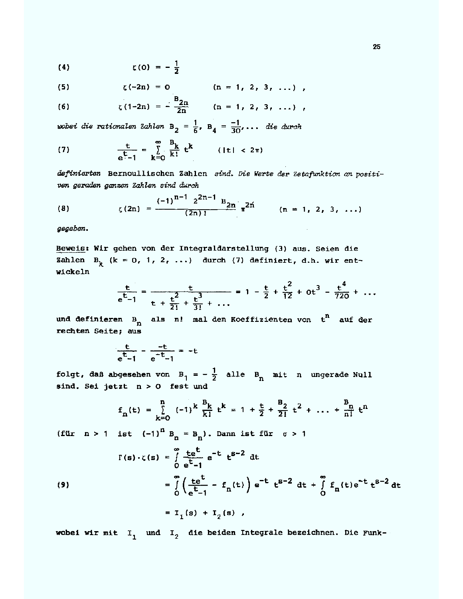$$
\zeta(0) = -\frac{1}{2}
$$

(5) 
$$
\zeta(-2n) = 0
$$
 (n = 1, 2, 3, ...)

(6) 
$$
\zeta(1-2n) = -\frac{B_{2n}}{2n} \qquad (n = 1, 2, 3, ...)
$$

wobei die rationalen Zahlen B<sub>2</sub> =  $\frac{1}{6}$ , B<sub>4</sub> =  $\frac{-1}{30}$ ,... die durch

(7) 
$$
\frac{t}{e^t - 1} = \sum_{k=0}^{\infty} \frac{B_k}{k!} t^k
$$
 (|t| < 2 $\pi$ )

definierten Bernoullischen Zahlen sind. Die Werte der Zetafunktion an positiven geraden ganzen Zahlen sind durch

(8) 
$$
\zeta(2n) = \frac{(-1)^{n-1} 2^{2n-1} B_{2n}}{(2n)!} \pi^{2n} \qquad (n = 1, 2, 3, ...)
$$

gegeben.

Beweis: Wir gehen von der Integraldarstellung (3) aus. Seien die Zahlen B<sub>k</sub> (k = 0, 1, 2, ...) durch (7) definiert, d.h. wir entwickeln

$$
\frac{t}{e^{t}-1} = \frac{t}{t + \frac{t^2}{2!} + \frac{t^3}{3!} + \cdots} = 1 - \frac{t}{2} + \frac{t^2}{12} + 0t^3 - \frac{t^4}{720} + \cdots
$$

und definieren  $B_n$  als n! mal den Koeffizienten von  $t^n$  auf der rechten Seite; aus

$$
\frac{t}{e^t-1} - \frac{-t}{e^{-t}-1} = -t
$$

folgt, daß abgesehen von  $B_1 = -\frac{1}{2}$  alle  $B_n$  mit n ungerade Null sind. Sei jetzt n > 0 fest und

$$
f_n(t) = \sum_{k=0}^{n} (-1)^k \frac{B_k}{k!} t^k = 1 + \frac{t}{2} + \frac{B_2}{2!} t^2 + \dots + \frac{B_n}{n!} t^n
$$

(für  $n > 1$  ist  $(-1)^n B_n = B_n$ ). Dann ist für  $\sigma > 1$ 

(9)  
\n
$$
\Gamma(s) \cdot \zeta(s) = \int_{0}^{\infty} \frac{te^{t}}{e^{t} - 1} e^{-t} t^{s-2} dt
$$
\n
$$
= \int_{0}^{\infty} \left( \frac{te^{t}}{e^{t} - 1} - f_{n}(t) \right) e^{-t} t^{s-2} dt + \int_{0}^{\infty} f_{n}(t) e^{-t} t^{s-2} dt
$$
\n
$$
= I_{1}(s) + I_{2}(s) ,
$$

wobei wir mit  $I_1$  und  $I_2$  die beiden Integrale bezeichnen. Die Funk-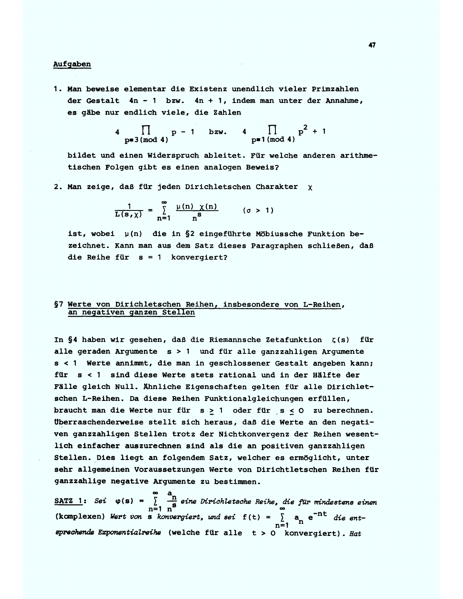#### Aufgaben

1. Man beweise elementar die Existenz unendlich vieler Primzahlen der Gestalt  $4n - 1$  bzw.  $4n + 1$ , indem man unter der Annahme, es gäbe nur endlich viele, die Zahlen

4  $\prod_{p\equiv 3 \pmod{4}} p - 1$  bzw. 4  $\prod_{p\equiv 1 \pmod{4}} p^2 + 1$ 

bildet und einen Widerspruch ableitet. Für welche anderen arithmetischen Folgen gibt es einen analogen Beweis?

2. Man zeige, daß für jeden Dirichletschen Charakter x

$$
\frac{1}{L(s,\chi)} = \sum_{n=1}^{\infty} \frac{\mu(n) \chi(n)}{n^{s}} \qquad (\sigma > 1)
$$

ist, wobei  $\mu(n)$  die in §2 eingeführte Möbiussche Funktion bezeichnet. Kann man aus dem Satz dieses Paragraphen schließen, daß die Reihe für  $s = 1$  konvergiert?

## §7 Werte von Dirichletschen Reihen, insbesondere von L-Reihen, an negativen ganzen Stellen

In §4 haben wir gesehen, daß die Riemannsche Zetafunktion  $\zeta(s)$ für alle geraden Argumente s > 1 und für alle ganzzahligen Argumente s < 1 Werte annimmt, die man in geschlossener Gestalt angeben kann; für s < 1 sind diese Werte stets rational und in der Hälfte der Fälle gleich Null. Ähnliche Eigenschaften gelten für alle Dirichletschen L-Reihen. Da diese Reihen Funktionalgleichungen erfüllen, braucht man die Werte nur für  $s \ge 1$  oder für  $s \le 0$  zu berechnen. Uberraschenderweise stellt sich heraus, daß die Werte an den negativen ganzzahligen Stellen trotz der Nichtkonvergenz der Reihen wesentlich einfacher auszurechnen sind als die an positiven ganzzahligen Stellen. Dies liegt an folgendem Satz, welcher es ermöglicht, unter sehr allgemeinen Voraussetzungen Werte von Dirichtletschen Reihen für ganzzahlige negative Argumente zu bestimmen.

SATZ 1: Sei  $\varphi(s) = \sum_{n=1}^{\infty} \frac{a_n}{n^s}$  eine Dirichletsche Reihe, die für mindestens einen (komplexen) Wert von s konvergiert, und sei f(t) =  $\sum_{n=1}^{\infty} a_n e^{-nt}$  die entsprechende Exponentialreihe (welche für alle t > 0 konvergiert). Hat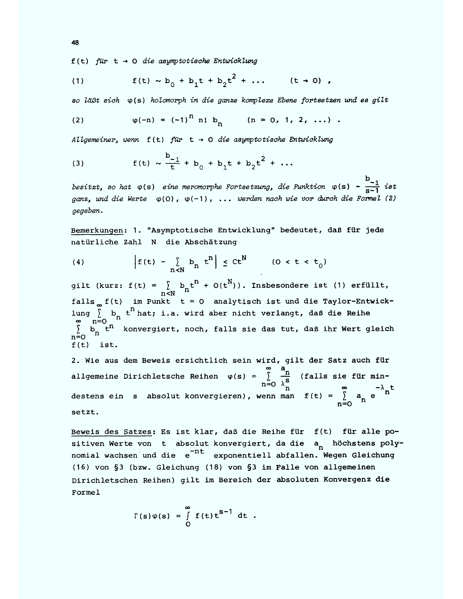$f(t)$  für  $t \rightarrow 0$  die asymptotische Entwicklung

(1) 
$$
f(t) \sim b_0 + b_1 t + b_2 t^2 + ...
$$
  $(t \to 0)$ ,

so läßt sich  $\varphi(s)$  holomorph in die ganze komplexe Ebene fortsetzen und es gilt

(2) 
$$
\varphi(-n) = (-1)^n n! b_n
$$
  $(n = 0, 1, 2, ...)$ 

Allgemeiner, wenn  $f(t)$  für  $t \rightarrow 0$  die asymptotische Entwicklung

(3) 
$$
f(t) \sim \frac{b_{-1}}{t} + b_0 + b_1 t + b_2 t^2 + ...
$$

besitzt, so hat  $\varphi(s)$  eine meromorphe Fortsetzung, die Funktion  $\varphi(s)$  -  $\frac{D_{-1}}{S-1}$  ist ganz, und die Werte  $\varphi(0)$ ,  $\varphi(-1)$ , ... werden nach wie vor durch die Formel (2) gegeben.

Bemerkungen: 1. "Asymptotische Entwicklung" bedeutet, daß für jede natürliche Zahl N die Abschätzung

(4) 
$$
\left|f(t) - \sum_{n < N} b_n t^n \right| \leq Ct^N \qquad (0 < t < t_0)
$$

gilt (kurz: f(t) =  $\sum_{n\leq N} b_n t^n + O(t^N)$ ). Insbesondere ist (1) erfüllt, falls  $\int_{\infty}^{t} f(t)$  im Punkt t = 0 analytisch ist und die Taylor-Entwicklung  $\sum_{n=0}^{\infty} b_n t^n$  hat; i.a. wird aber nicht verlangt, daß die Reihe<br>  $\sum_{n=0}^{\infty} b_n t^n$  konvergiert, noch, falls sie das tut, daß ihr Wert gleich  $n = 0$  $f(t)$  ist.

2. Wie aus dem Beweis ersichtlich sein wird, gilt der Satz auch für allgemeine Dirichletsche Reihen  $\varphi(s) = \sum_{n=0}^{\infty} \frac{n}{\lambda_{n}^{s}}$  (falls sie für min-<br>destens ein s absolut konvergieren), wenn man  $f(t) = \sum_{n=0}^{\infty} a_{n} e^{-\lambda_{n} t}$ setzt.

Beweis des Satzes: Es ist klar, daß die Reihe für f(t) für alle positiven Werte von t absolut konvergiert, da die a höchstens polynomial wachsen und die e<sup>-nt</sup> exponentiell abfallen. Wegen Gleichung (16) von §3 (bzw. Gleichung (18) von §3 im Falle von allgemeinen Dirichletschen Reihen) gilt im Bereich der absoluten Konvergenz die Formel

$$
\Gamma(s)\varphi(s) = \int_{0}^{\infty} f(t) t^{s-1} dt.
$$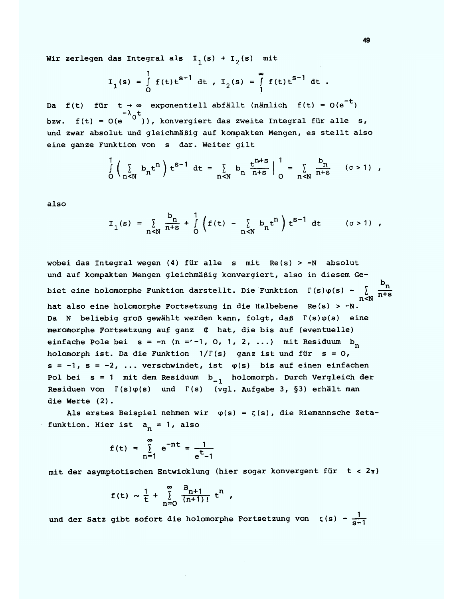Wir zerlegen das Integral als  $I_1(s) + I_2(s)$  mit

$$
I_1(s) = \int_0^1 f(t) t^{s-1} dt
$$
,  $I_2(s) = \int_1^{\infty} f(t) t^{s-1} dt$ .

Da f(t) für t +  $\infty$  exponentiell abfällt (nämlich f(t) = 0(e<sup>-t</sup>) bzw.  $f(t) = O(e^{t})$ , konvergiert das zweite Integral für alle s, und zwar absolut und gleichmäßig auf kompakten Mengen, es stellt also eine ganze Funktion von s dar. Weiter gilt

$$
\int_{0}^{1} \left( \sum_{n \leq N} b_{n} t^{n} \right) t^{s-1} dt = \sum_{n \leq N} b_{n} \frac{t^{n+s}}{n+s} \Big|_{0}^{1} = \sum_{n \leq N} \frac{b_{n}}{n+s} \quad (\sigma > 1) ,
$$

also

$$
I_1(s) = \sum_{n < N} \frac{b_n}{n+s} + \int_0^1 \left( f(t) - \sum_{n < N} b_n t^n \right) t^{s-1} dt \qquad (\sigma > 1) ,
$$

wobei das Integral wegen (4) für alle s mit Re(s) > -N absolut und auf kompakten Mengen gleichmäßig konvergiert, also in diesem Ge- $\Gamma(s)\varphi(s) - \sum_{n \leq N} \frac{b_n}{n+s}$ biet eine holomorphe Funktion darstellt. Die Funktion hat also eine holomorphe Fortsetzung in die Halbebene Re(s) > -N. Da N beliebig groß gewählt werden kann, folgt, daß  $\Gamma(s)\varphi(s)$  eine meromorphe Fortsetzung auf ganz  $\sigma$  hat, die bis auf (eventuelle) einfache Pole bei s = -n (n = -1, 0, 1, 2, ...) mit Residuum b holomorph ist. Da die Funktion  $1/\Gamma(s)$  ganz ist und für  $s = 0$ ,  $s = -1$ ,  $s = -2$ , ... verschwindet, ist  $\varphi(s)$  bis auf einen einfachen Pol bei  $s = 1$  mit dem Residuum  $b_{-1}$  holomorph. Durch Vergleich der Residuen von  $\Gamma(s)\varphi(s)$  und  $\Gamma(s)$  (vgl. Aufgabe 3, §3) erhält man die Werte (2).

Als erstes Beispiel nehmen wir  $\varphi(s) = \zeta(s)$ , die Riemannsche Zetafunktion. Hier ist  $a_n = 1$ , also

$$
f(t) = \sum_{n=1}^{\infty} e^{-nt} = \frac{1}{e^{t}-1}
$$

mit der asymptotischen Entwicklung (hier sogar konvergent für  $t < 2\pi$ )

$$
f(t) \sim \frac{1}{t} + \sum_{n=0}^{\infty} \frac{B_{n+1}}{(n+1)!} t^{n}
$$

und der Satz gibt sofort die holomorphe Fortsetzung von  $\zeta(s) = \frac{1}{s-1}$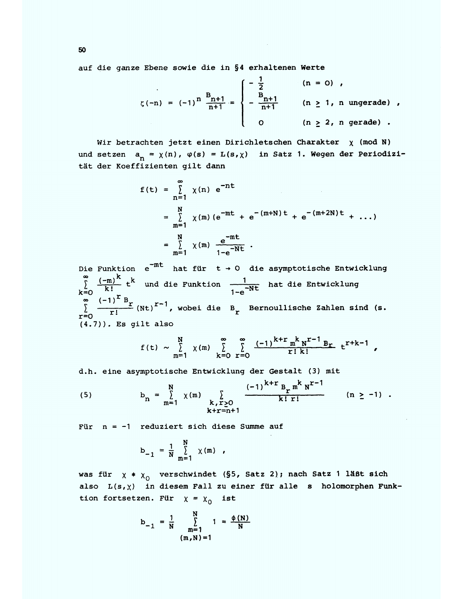auf die ganze Ebene sowie die in §4 erhaltenen Werte

$$
\zeta(-n) = (-1)^n \frac{B_{n+1}}{n+1} = \begin{cases} -\frac{1}{2} & (n = 0) \\ -\frac{B_{n+1}}{n+1} & (n \ge 1, n \text{ ungerade}) \\ 0 & (n \ge 2, n \text{ gerade}) \end{cases}
$$

Wir betrachten jetzt einen Dirichletschen Charakter  $\chi$  (mod N) und setzen  $a_n = \chi(n)$ ,  $\varphi(s) = L(s, \chi)$  in Satz 1. Wegen der Periodizität der Koeffizienten gilt dann

$$
f(t) = \sum_{n=1}^{\infty} \chi(n) e^{-nt}
$$
  
=  $\sum_{m=1}^{N} \chi(m) (e^{-mt} + e^{-(m+N)t} + e^{-(m+2N)t} + ...)$   
=  $\sum_{m=1}^{N} \chi(m) \frac{e^{-mt}}{1-e^{-Nt}}$ .

Die Funktion  $e^{-mt}$  hat für  $t \rightarrow 0$  die asymptotische Entwicklung  $\sum_{k=0}^{\infty} \frac{(-m)^k}{k!} t^k$  und die Funktion  $\frac{1}{1-e^{-Nt}}$  hat die Entwicklung  $\sum_{r=0}^{\infty} \frac{(-1)^r B_r}{r!} (Nt)^{r-1}$ , wobei die  $B_r$  Bernoullische Zahlen sind (s.  $(4.7)$ ). Es gilt also

$$
f(t) \sim \sum_{m=1}^{N} \chi(m) \sum_{k=0}^{\infty} \sum_{r=0}^{\infty} \frac{(-1)^{k+r} m^{k} N^{r-1} B_{r}}{r! k!} t^{r+k-1}
$$

d.h. eine asymptotische Entwicklung der Gestalt (3) mit

(5) 
$$
b_{n} = \sum_{m=1}^{N} \chi(m) \sum_{\substack{k, r \geq 0 \\ k+r=n+1}} \frac{(-1)^{k+r} B_{r} m^{k} N^{r-1}}{k! r!} \qquad (n \geq -1).
$$

Für  $n = -1$  reduziert sich diese Summe auf

$$
b_{-1} = \frac{1}{N} \sum_{m=1}^{N} \chi(m) ,
$$

was für  $\chi$  \*  $\chi$ <sup>0</sup> verschwindet (§5, Satz 2); nach Satz 1 läßt sich also  $L(s, \chi)$  in diesem Fall zu einer für alle s holomorphen Funktion fortsetzen. Für  $\chi = \chi_0$  ist

$$
b_{-1} = \frac{1}{N} \sum_{m=1}^{N} 1 = \frac{\phi(N)}{N}
$$
  
(m, N) = 1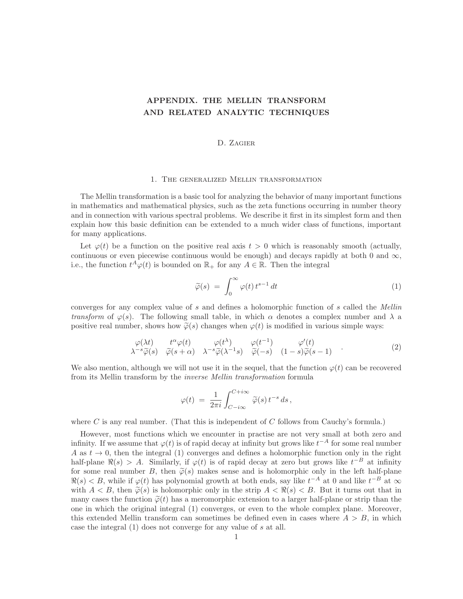# APPENDIX. THE MELLIN TRANSFORM AND RELATED ANALYTIC TECHNIQUES

## D. Zagier

#### 1. The generalized Mellin transformation

The Mellin transformation is a basic tool for analyzing the behavior of many important functions in mathematics and mathematical physics, such as the zeta functions occurring in number theory and in connection with various spectral problems. We describe it first in its simplest form and then explain how this basic definition can be extended to a much wider class of functions, important for many applications.

Let  $\varphi(t)$  be a function on the positive real axis  $t > 0$  which is reasonably smooth (actually, continuous or even piecewise continuous would be enough) and decays rapidly at both 0 and  $\infty$ , i.e., the function  $t^A \varphi(t)$  is bounded on  $\mathbb{R}_+$  for any  $A \in \mathbb{R}$ . Then the integral

$$
\widetilde{\varphi}(s) = \int_0^\infty \varphi(t) \, t^{s-1} \, dt \tag{1}
$$

converges for any complex value of s and defines a holomorphic function of s called the Mellin transform of  $\varphi(s)$ . The following small table, in which  $\alpha$  denotes a complex number and  $\lambda$  a positive real number, shows how  $\tilde{\varphi}(s)$  changes when  $\varphi(t)$  is modified in various simple ways:

$$
\varphi(\lambda t) \quad t^{\alpha} \varphi(t) \qquad \varphi(t^{\lambda}) \qquad \varphi(t^{-1}) \qquad \varphi'(t) \n\lambda^{-s} \widetilde{\varphi}(s) \quad \widetilde{\varphi}(s+\alpha) \quad \lambda^{-s} \widetilde{\varphi}(\lambda^{-1}s) \quad \widetilde{\varphi}(-s) \quad (1-s) \widetilde{\varphi}(s-1)
$$
\n(2)

We also mention, although we will not use it in the sequel, that the function  $\varphi(t)$  can be recovered from its Mellin transform by the inverse Mellin transformation formula

$$
\varphi(t) ~=~ \frac{1}{2\pi i}\int_{C-i\infty}^{C+i\infty}\, \widetilde{\varphi}(s){\,}t^{-s}{\,}ds{\,},
$$

where C is any real number. (That this is independent of C follows from Cauchy's formula.)

However, most functions which we encounter in practise are not very small at both zero and infinity. If we assume that  $\varphi(t)$  is of rapid decay at infinity but grows like  $t^{-A}$  for some real number A as  $t \to 0$ , then the integral (1) converges and defines a holomorphic function only in the right half-plane  $\Re(s) > A$ . Similarly, if  $\varphi(t)$  is of rapid decay at zero but grows like  $t^{-B}$  at infinity for some real number B, then  $\tilde{\varphi}(s)$  makes sense and is holomorphic only in the left half-plane  $\Re(s) < B$ , while if  $\varphi(t)$  has polynomial growth at both ends, say like  $t^{-A}$  at 0 and like  $t^{-B}$  at  $\infty$ with  $A < B$ , then  $\widetilde{\varphi}(s)$  is holomorphic only in the strip  $A < \Re(s) < B$ . But it turns out that in many cases the function  $\tilde{\varphi}(t)$  has a meromorphic extension to a larger half-plane or strip than the one in which the original integral (1) converges, or even to the whole complex plane. Moreover, this extended Mellin transform can sometimes be defined even in cases where  $A > B$ , in which case the integral (1) does not converge for any value of s at all.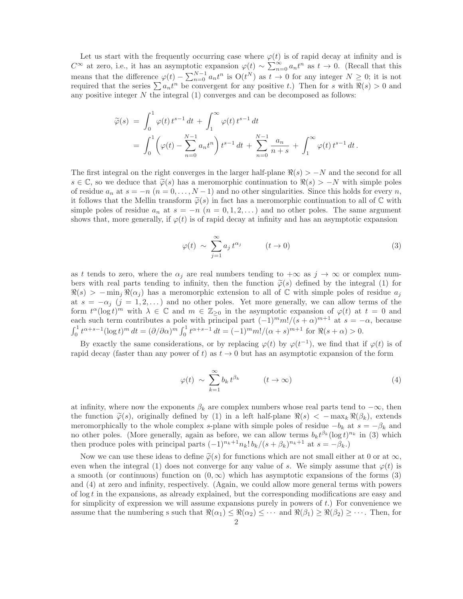Let us start with the frequently occurring case where  $\varphi(t)$  is of rapid decay at infinity and is  $C^{\infty}$  at zero, i.e., it has an asymptotic expansion  $\varphi(t) \sim \sum_{n=0}^{\infty} a_n t^n$  as  $t \to 0$ . (Recall that this means that the difference  $\varphi(t) - \sum_{n=0}^{N-1} a_n t^n$  is  $O(t^N)$  as  $t \to 0$  for any integer  $N \geq 0$ ; it is not required that the series  $\sum a_n t^n$  be convergent for any positive t.) Then for s with  $\Re(s) > 0$  and any positive integer  $N$  the integral  $(1)$  converges and can be decomposed as follows:

$$
\widetilde{\varphi}(s) = \int_0^1 \varphi(t) t^{s-1} dt + \int_1^{\infty} \varphi(t) t^{s-1} dt \n= \int_0^1 \left( \varphi(t) - \sum_{n=0}^{N-1} a_n t^n \right) t^{s-1} dt + \sum_{n=0}^{N-1} \frac{a_n}{n+s} + \int_1^{\infty} \varphi(t) t^{s-1} dt.
$$

The first integral on the right converges in the larger half-plane  $\Re(s) > -N$  and the second for all  $s \in \mathbb{C}$ , so we deduce that  $\widetilde{\varphi}(s)$  has a meromorphic continuation to  $\Re(s) > -N$  with simple poles of residue  $a_n$  at  $s = -n$   $(n = 0, \ldots, N-1)$  and no other singularities. Since this holds for every n, it follows that the Mellin transform  $\widetilde{\varphi}(s)$  in fact has a meromorphic continuation to all of  $\mathbb C$  with simple poles of residue  $a_n$  at  $s = -n$   $(n = 0, 1, 2, ...)$  and no other poles. The same argument shows that, more generally, if  $\varphi(t)$  is of rapid decay at infinity and has an asymptotic expansion

$$
\varphi(t) \sim \sum_{j=1}^{\infty} a_j t^{\alpha_j} \qquad (t \to 0)
$$
\n(3)

as t tends to zero, where the  $\alpha_i$  are real numbers tending to  $+\infty$  as  $j \to \infty$  or complex numbers with real parts tending to infinity, then the function  $\tilde{\varphi}(s)$  defined by the integral (1) for  $\Re(s) > -\min_i \Re(\alpha_i)$  has a meromorphic extension to all of  $\mathbb C$  with simple poles of residue  $a_i$ at  $s = -\alpha_j$  (j = 1,2,...) and no other poles. Yet more generally, we can allow terms of the form  $t^{\alpha}(\log t)^m$  with  $\lambda \in \mathbb{C}$  and  $m \in \mathbb{Z}_{\geq 0}$  in the asymptotic expansion of  $\varphi(t)$  at  $t = 0$  and each such term contributes a pole with principal part  $(-1)^{m}m!/(s+\alpha)^{m+1}$  at  $s=-\alpha$ , because  $\int_0^1 t^{\alpha+s-1} (\log t)^m dt = (\partial/\partial \alpha)^m \int_0^1 t^{\alpha+s-1} dt = (-1)^m m! / (\alpha+s)^{m+1}$  for  $\Re(s+\alpha) > 0$ .

By exactly the same considerations, or by replacing  $\varphi(t)$  by  $\varphi(t^{-1})$ , we find that if  $\varphi(t)$  is of rapid decay (faster than any power of t) as  $t \to 0$  but has an asymptotic expansion of the form

$$
\varphi(t) \sim \sum_{k=1}^{\infty} b_k t^{\beta_k} \qquad (t \to \infty)
$$
 (4)

at infinity, where now the exponents  $\beta_k$  are complex numbers whose real parts tend to  $-\infty$ , then the function  $\tilde{\varphi}(s)$ , originally defined by (1) in a left half-plane  $\Re(s) < -\max_k \Re(\beta_k)$ , extends meromorphically to the whole complex s-plane with simple poles of residue  $-b_k$  at  $s = -\beta_k$  and no other poles. (More generally, again as before, we can allow terms  $b_k t^{\beta_k} (\log t)^{n_k}$  in (3) which then produce poles with principal parts  $(-1)^{n_k+1}n_k!b_k/(s+\beta_k)^{n_k+1}$  at  $s=-\beta_k$ .)

Now we can use these ideas to define  $\widetilde{\varphi}(s)$  for functions which are not small either at 0 or at  $\infty$ , even when the integral (1) does not converge for any value of s. We simply assume that  $\varphi(t)$  is a smooth (or continuous) function on  $(0, \infty)$  which has asymptotic expansions of the forms (3) and (4) at zero and infinity, respectively. (Again, we could allow more general terms with powers of  $\log t$  in the expansions, as already explained, but the corresponding modifications are easy and for simplicity of expression we will assume expansions purely in powers of  $t$ .) For convenience we assume that the numbering s such that  $\Re(\alpha_1) \leq \Re(\alpha_2) \leq \cdots$  and  $\Re(\beta_1) \geq \Re(\beta_2) \geq \cdots$ . Then, for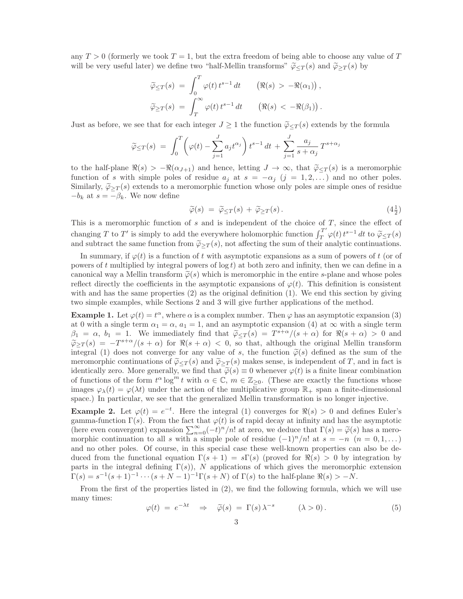any  $T > 0$  (formerly we took  $T = 1$ , but the extra freedom of being able to choose any value of T will be very useful later) we define two "half-Mellin transforms"  $\tilde{\varphi}_{\leq T}(s)$  and  $\tilde{\varphi}_{\geq T}(s)$  by

$$
\widetilde{\varphi}_{\leq T}(s) = \int_0^T \varphi(t) t^{s-1} dt \qquad (\Re(s) > -\Re(\alpha_1)),
$$
  

$$
\widetilde{\varphi}_{\geq T}(s) = \int_T^\infty \varphi(t) t^{s-1} dt \qquad (\Re(s) < -\Re(\beta_1)).
$$

Just as before, we see that for each integer  $J \geq 1$  the function  $\tilde{\varphi}_{\leq T}(s)$  extends by the formula

$$
\widetilde{\varphi}_{\leq T}(s) = \int_0^T \left( \varphi(t) - \sum_{j=1}^J a_j t^{\alpha_j} \right) t^{s-1} dt + \sum_{j=1}^J \frac{a_j}{s + \alpha_j} T^{s + \alpha_j}
$$

to the half-plane  $\Re(s) > -\Re(\alpha_{J+1})$  and hence, letting  $J \to \infty$ , that  $\tilde{\varphi}_{\leq T}(s)$  is a meromorphic function of s with simple poles of residue  $a_j$  at  $s = -\alpha_j$   $(j = 1, 2, ...)$  and no other poles. Similarly,  $\tilde{\varphi}_{\geq T}(s)$  extends to a meromorphic function whose only poles are simple ones of residue  $-b_k$  at  $s = -\beta_k$ . We now define

$$
\widetilde{\varphi}(s) = \widetilde{\varphi}_{\leq T}(s) + \widetilde{\varphi}_{\geq T}(s). \tag{4}_{\frac{1}{2}}^{\frac{1}{2}}
$$

This is a meromorphic function of s and is independent of the choice of T, since the effect of changing T to T' is simply to add the everywhere holomorphic function  $\int_T^{T'} \varphi(t) t^{s-1} dt$  to  $\widetilde{\varphi}_{\leq T}(s)$ and subtract the same function from  $\tilde{\varphi}_{\geq T}(s)$ , not affecting the sum of their analytic continuations.

In summary, if  $\varphi(t)$  is a function of t with asymptotic expansions as a sum of powers of t (or of powers of t multiplied by integral powers of  $\log t$ ) at both zero and infinity, then we can define in a canonical way a Mellin transform  $\tilde{\varphi}(s)$  which is meromorphic in the entire s-plane and whose poles reflect directly the coefficients in the asymptotic expansions of  $\varphi(t)$ . This definition is consistent with and has the same properties  $(2)$  as the original definition  $(1)$ . We end this section by giving two simple examples, while Sections 2 and 3 will give further applications of the method.

**Example 1.** Let  $\varphi(t) = t^{\alpha}$ , where  $\alpha$  is a complex number. Then  $\varphi$  has an asymptotic expansion (3) at 0 with a single term  $\alpha_1 = \alpha$ ,  $a_1 = 1$ , and an asymptotic expansion (4) at  $\infty$  with a single term  $\beta_1 = \alpha, b_1 = 1$ . We immediately find that  $\tilde{\varphi}_{\leq T}(s) = T^{s+\alpha}/(s+\alpha)$  for  $\Re(s+\alpha) > 0$  and  $\widetilde{\varphi}_{\geq T}(s) = -T^{s+\alpha}/(s+\alpha)$  for  $\Re(s+\alpha) < 0$ , so that, although the original Mellin transform integral (1) does not converge for any value of s, the function  $\tilde{\varphi}(s)$  defined as the sum of the meromorphic continuations of  $\tilde{\varphi}_{\leq T}(s)$  and  $\tilde{\varphi}_{\geq T}(s)$  makes sense, is independent of T, and in fact is identically zero. More generally, we find that  $\tilde{\varphi}(s) \equiv 0$  whenever  $\varphi(t)$  is a finite linear combination of functions of the form  $t^{\alpha} \log^m t$  with  $\alpha \in \mathbb{C}$ ,  $m \in \mathbb{Z}_{\geq 0}$ . (These are exactly the functions whose images  $\varphi_{\lambda}(t) = \varphi(\lambda t)$  under the action of the multiplicative group  $\mathbb{R}_{+}$  span a finite-dimensional space.) In particular, we see that the generalized Mellin transformation is no longer injective.

**Example 2.** Let  $\varphi(t) = e^{-t}$ . Here the integral (1) converges for  $\Re(s) > 0$  and defines Euler's gamma-function  $\Gamma(s)$ . From the fact that  $\varphi(t)$  is of rapid decay at infinity and has the asymptotic (here even convergent) expansion  $\sum_{n=0}^{\infty} (-t)^n/n!$  at zero, we deduce that  $\Gamma(s) = \tilde{\varphi}(s)$  has a meromorphic continuation to all s with a simple pole of residue  $(-1)^n/n!$  at  $s = -n$   $(n = 0, 1, ...)$ and no other poles. Of course, in this special case these well-known properties can also be deduced from the functional equation  $\Gamma(s + 1) = s\Gamma(s)$  (proved for  $\Re(s) > 0$  by integration by parts in the integral defining  $\Gamma(s)$ ), N applications of which gives the meromorphic extension  $\Gamma(s) = s^{-1}(s+1)^{-1} \cdots (s+N-1)^{-1} \Gamma(s+N)$  of  $\Gamma(s)$  to the half-plane  $\Re(s) > -N$ .

From the first of the properties listed in (2), we find the following formula, which we will use many times:

$$
\varphi(t) = e^{-\lambda t} \quad \Rightarrow \quad \widetilde{\varphi}(s) = \Gamma(s) \lambda^{-s} \qquad (\lambda > 0). \tag{5}
$$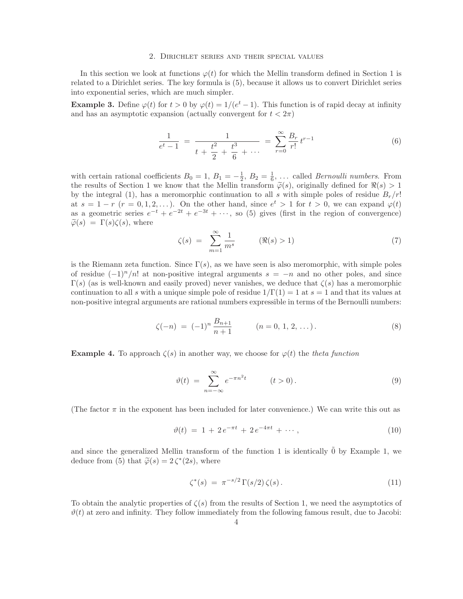#### 2. Dirichlet series and their special values

In this section we look at functions  $\varphi(t)$  for which the Mellin transform defined in Section 1 is related to a Dirichlet series. The key formula is (5), because it allows us to convert Dirichlet series into exponential series, which are much simpler.

**Example 3.** Define  $\varphi(t)$  for  $t > 0$  by  $\varphi(t) = 1/(e^t - 1)$ . This function is of rapid decay at infinity and has an asymptotic expansion (actually convergent for  $t < 2\pi$ )

$$
\frac{1}{e^t - 1} = \frac{1}{t + \frac{t^2}{2} + \frac{t^3}{6} + \dots} = \sum_{r=0}^{\infty} \frac{B_r}{r!} t^{r-1}
$$
(6)

with certain rational coefficients  $B_0 = 1, B_1 = -\frac{1}{2}, B_2 = \frac{1}{6}, \dots$  called *Bernoulli numbers*. From the results of Section 1 we know that the Mellin transform  $\tilde{\varphi}(s)$ , originally defined for  $\Re(s) > 1$ by the integral (1), has a meromorphic continuation to all s with simple poles of residue  $B_r/r!$ at  $s = 1 - r$   $(r = 0, 1, 2, ...)$ . On the other hand, since  $e^t > 1$  for  $t > 0$ , we can expand  $\varphi(t)$ as a geometric series  $e^{-t} + e^{-2t} + e^{-3t} + \cdots$ , so (5) gives (first in the region of convergence)  $\widetilde{\varphi}(s) = \Gamma(s)\zeta(s)$ , where

$$
\zeta(s) = \sum_{m=1}^{\infty} \frac{1}{m^s} \qquad (\Re(s) > 1)
$$
\n
$$
(7)
$$

is the Riemann zeta function. Since  $\Gamma(s)$ , as we have seen is also meromorphic, with simple poles of residue  $(-1)^n/n!$  at non-positive integral arguments  $s = -n$  and no other poles, and since  $\Gamma(s)$  (as is well-known and easily proved) never vanishes, we deduce that  $\zeta(s)$  has a meromorphic continuation to all s with a unique simple pole of residue  $1/\Gamma(1) = 1$  at  $s = 1$  and that its values at non-positive integral arguments are rational numbers expressible in terms of the Bernoulli numbers:

$$
\zeta(-n) = (-1)^n \frac{B_{n+1}}{n+1} \qquad (n = 0, 1, 2, \dots). \tag{8}
$$

**Example 4.** To approach  $\zeta(s)$  in another way, we choose for  $\varphi(t)$  the theta function

$$
\vartheta(t) = \sum_{n = -\infty}^{\infty} e^{-\pi n^2 t} \qquad (t > 0).
$$
\n(9)

(The factor  $\pi$  in the exponent has been included for later convenience.) We can write this out as

$$
\vartheta(t) = 1 + 2e^{-\pi t} + 2e^{-4\pi t} + \cdots, \tag{10}
$$

and since the generalized Mellin transform of the function 1 is identically  $\hat{0}$  by Example 1, we deduce from (5) that  $\tilde{\varphi}(s) = 2 \zeta^*(2s)$ , where

$$
\zeta^*(s) = \pi^{-s/2} \Gamma(s/2) \zeta(s). \tag{11}
$$

To obtain the analytic properties of  $\zeta(s)$  from the results of Section 1, we need the asymptotics of  $\vartheta(t)$  at zero and infinity. They follow immediately from the following famous result, due to Jacobi: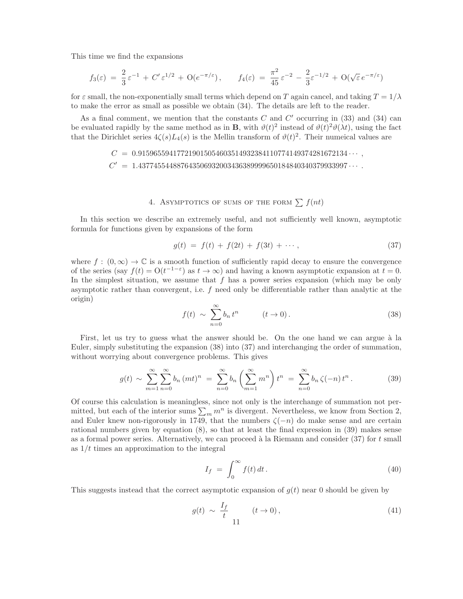This time we find the expansions

$$
f_3(\varepsilon) = \frac{2}{3}\varepsilon^{-1} + C'\varepsilon^{1/2} + O(e^{-\pi/\varepsilon}), \qquad f_4(\varepsilon) = \frac{\pi^2}{45}\varepsilon^{-2} - \frac{2}{3}\varepsilon^{-1/2} + O(\sqrt{\varepsilon}e^{-\pi/\varepsilon})
$$

for  $\varepsilon$  small, the non-exponentially small terms which depend on T again cancel, and taking  $T = 1/\lambda$ to make the error as small as possible we obtain (34). The details are left to the reader.

As a final comment, we mention that the constants  $C$  and  $C'$  occurring in  $(33)$  and  $(34)$  can be evaluated rapidly by the same method as in **B**, with  $\vartheta(t)^2$  instead of  $\vartheta(t)^2 \vartheta(\lambda t)$ , using the fact that the Dirichlet series  $4\zeta(s)L_4(s)$  is the Mellin transform of  $\vartheta(t)^2$ . Their numercal values are

> $C \ = \ 0.915965594177219015054603514932384110774149374281672134 \cdots \ ,$  $C' = 1.437745544887643506932003436389999650184840340379933997...$

## 4. ASYMPTOTICS OF SUMS OF THE FORM  $\sum f(nt)$

In this section we describe an extremely useful, and not sufficiently well known, asymptotic formula for functions given by expansions of the form

$$
g(t) = f(t) + f(2t) + f(3t) + \cdots, \qquad (37)
$$

where  $f : (0, \infty) \to \mathbb{C}$  is a smooth function of sufficiently rapid decay to ensure the convergence of the series (say  $f(t) = O(t^{-1-\epsilon})$  as  $t \to \infty$ ) and having a known asymptotic expansion at  $t = 0$ . In the simplest situation, we assume that  $f$  has a power series expansion (which may be only asymptotic rather than convergent, i.e. f need only be differentiable rather than analytic at the origin)

$$
f(t) \sim \sum_{n=0}^{\infty} b_n t^n \qquad (t \to 0).
$$
 (38)

First, let us try to guess what the answer should be. On the one hand we can argue à la Euler, simply substituting the expansion (38) into (37) and interchanging the order of summation, without worrying about convergence problems. This gives

$$
g(t) \sim \sum_{m=1}^{\infty} \sum_{n=0}^{\infty} b_n (mt)^n = \sum_{n=0}^{\infty} b_n \left( \sum_{m=1}^{\infty} m^n \right) t^n = \sum_{n=0}^{\infty} b_n \zeta(-n) t^n.
$$
 (39)

Of course this calculation is meaningless, since not only is the interchange of summation not permitted, but each of the interior sums  $\sum_m m^n$  is divergent. Nevertheless, we know from Section 2, and Euler knew non-rigorously in 1749, that the numbers  $\zeta(-n)$  do make sense and are certain rational numbers given by equation (8), so that at least the final expression in (39) makes sense as a formal power series. Alternatively, we can proceed à la Riemann and consider  $(37)$  for t small as  $1/t$  times an approximation to the integral

$$
I_f = \int_0^\infty f(t) \, dt \,. \tag{40}
$$

This suggests instead that the correct asymptotic expansion of  $g(t)$  near 0 should be given by

$$
g(t) \sim \frac{I_f}{t} \qquad (t \to 0), \tag{41}
$$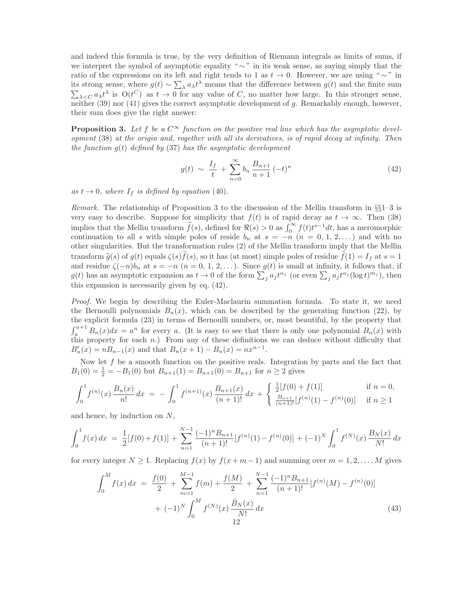and indeed this formula is true, by the very definition of Riemann integrals as limits of sums, if we interpret the symbol of asymptotic equality " $\sim$ " in its weak sense, as saying simply that the ratio of the expressions on its left and right tends to 1 as  $t \to 0$ . However, we are using " $\sim$ " in its strong sense, where  $g(t) \sim \sum_{\lambda} a_{\lambda} t^{\lambda}$  means that the difference between  $g(t)$  and the finite sum  $\sum_{\lambda \leq C} a_{\lambda} t^{\lambda}$  is  $O(t^C)$  as  $t \to 0$  for any value of C, no matter how large. In this stronger sense, neither (39) nor (41) gives the correct asymptotic development of g. Remarkably enough, however, their sum does give the right answer:

**Proposition 3.** Let f be a  $C^{\infty}$  function on the positive real line which has the asymptotic development (38) at the origin and, rogether with all its derivatives, is of rapid decay at infinity. Then the function  $g(t)$  defined by (37) has the asymptotic development

$$
g(t) \sim \frac{I_f}{t} + \sum_{n=0}^{\infty} b_n \frac{B_{n+1}}{n+1} (-t)^n
$$
 (42)

as  $t \to 0$ , where  $I_f$  is defined by equation (40).

Remark. The relationship of Proposition 3 to the discussion of the Mellin transform in  $\S_{1-3}$  is very easy to describe. Suppose for simplicity that  $f(t)$  is of rapid decay as  $t \to \infty$ . Then (38) implies that the Mellin transform  $\tilde{f}(s)$ , defined for  $\Re(s) > 0$  as  $\int_0^\infty f(t)t^{s-1}dt$ , has a meromorphic continuation to all s with simple poles of reside  $b_n$  at  $s = -n$   $(n = 0, 1, 2, ...)$  and with no other singularities. But the transformation rules (2) of the Mellin transform imply that the Mellin transform  $\tilde{g}(s)$  of  $g(t)$  equals  $\zeta(s)f(s)$ , so it has (at most) simple poles of residue  $f(1) = I_f$  at  $s = 1$ and residue  $\zeta(-n)b_n$  at  $s = -n$   $(n = 0, 1, 2, ...)$ . Since  $g(t)$  is small at infinity, it follows that, if  $g(t)$  has an asymptotic expansion as  $t \to 0$  of the form  $\sum_j a_j t^{\alpha_j}$  (or even  $\sum_j a_j t^{\alpha_j} (\log t)^{m_j}$ ), then this expansion is necessarily given by eq. (42).

Proof. We begin by describing the Euler-Maclaurin summation formula. To state it, we need the Bernoulli polynomials  $B_n(x)$ , which can be described by the generating function (22), by the explicit formula (23) in terms of Bernoulli numbers, or, most beautiful, by the property that  $\int_{a}^{a+1} B_n(x) dx = a^n$  for every a. (It is easy to see that there is only one polynomial  $B_n(x)$  with this property for each  $n$ .) From any of these definitions we can deduce without difficulty that  $B'_n(x) = nB_{n-1}(x)$  and that  $B_n(x+1) - B_n(x) = nx^{n-1}$ .

Now let  $f$  be a smooth function on the positive reals. Integration by parts and the fact that  $B_1(0) = \frac{1}{2} = -B_1(0)$  but  $B_{n+1}(1) = B_{n+1}(0) = B_{n+1}$  for  $n \ge 2$  gives

$$
\int_0^1 f^{(n)}(x) \frac{B_n(x)}{n!} dx = -\int_0^1 f^{(n+1)}(x) \frac{B_{n+1}(x)}{(n+1)!} dx + \begin{cases} \frac{1}{2}[f(0) + f(1)] & \text{if } n = 0, \\ \frac{B_{n+1}}{(n+1)!}[f^{(n)}(1) - f^{(n)}(0)] & \text{if } n \ge 1 \end{cases}
$$

and hence, by induction on N,

$$
\int_0^1 f(x) dx = \frac{1}{2} [f(0) + f(1)] + \sum_{n=1}^{N-1} \frac{(-1)^n B_{n+1}}{(n+1)!} [f^{(n)}(1) - f^{(n)}(0)] + (-1)^N \int_0^1 f^{(N)}(x) \frac{B_N(x)}{N!} dx
$$

for every integer  $N \ge 1$ . Replacing  $f(x)$  by  $f(x + m - 1)$  and summing over  $m = 1, 2, \ldots, M$  gives

$$
\int_{0}^{M} f(x) dx = \frac{f(0)}{2} + \sum_{m=1}^{M-1} f(m) + \frac{f(M)}{2} + \sum_{n=1}^{N-1} \frac{(-1)^{n} B_{n+1}}{(n+1)!} [f^{(n)}(M) - f^{(n)}(0)] + (-1)^{N} \int_{0}^{M} f^{(N)}(x) \frac{\bar{B}_{N}(x)}{N!} dx
$$
\n(43)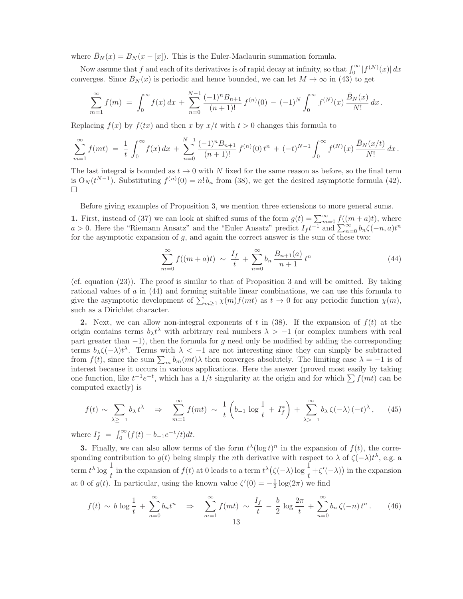where  $B_N(x) = B_N(x - [x])$ . This is the Euler-Maclaurin summation formula.

Now assume that f and each of its derivatives is of rapid decay at infinity, so that  $\int_0^\infty |f^{(N)}(x)| dx$ converges. Since  $\bar{B}_N(x)$  is periodic and hence bounded, we can let  $M \to \infty$  in (43) to get

$$
\sum_{m=1}^{\infty} f(m) = \int_0^{\infty} f(x) dx + \sum_{n=0}^{N-1} \frac{(-1)^n B_{n+1}}{(n+1)!} f^{(n)}(0) - (-1)^N \int_0^{\infty} f^{(N)}(x) \frac{\bar{B}_N(x)}{N!} dx.
$$

Replacing  $f(x)$  by  $f(tx)$  and then x by  $x/t$  with  $t > 0$  changes this formula to

$$
\sum_{m=1}^{\infty} f(mt) = \frac{1}{t} \int_0^{\infty} f(x) dx + \sum_{n=0}^{N-1} \frac{(-1)^n B_{n+1}}{(n+1)!} f^{(n)}(0) t^n + (-t)^{N-1} \int_0^{\infty} f^{(N)}(x) \frac{\bar{B}_N(x/t)}{N!} dx.
$$

The last integral is bounded as  $t \to 0$  with N fixed for the same reason as before, so the final term is  $O_N(t^{N-1})$ . Substituting  $f^{(n)}(0) = n! b_n$  from (38), we get the desired asymptotic formula (42).  $\Box$ 

Before giving examples of Proposition 3, we mention three extensions to more general sums.

1. First, instead of (37) we can look at shifted sums of the form  $g(t) = \sum_{m=0}^{\infty} f((m+a)t)$ , where  $a > 0$ . Here the "Riemann Ansatz" and the "Euler Ansatz" predict  $I_f t^{-1}$  and  $\sum_{n=0}^{\infty} b_n \zeta(-n, a)t^n$ for the asymptotic expansion of  $g$ , and again the correct answer is the sum of these two:

$$
\sum_{m=0}^{\infty} f((m+a)t) \sim \frac{I_f}{t} + \sum_{n=0}^{\infty} b_n \frac{B_{n+1}(a)}{n+1} t^n \tag{44}
$$

(cf. equation (23)). The proof is similar to that of Proposition 3 and will be omitted. By taking rational values of  $a$  in  $(44)$  and forming suitable linear combinations, we can use this formula to give the asymptotic development of  $\sum_{m\geq 1} \chi(m)f(mt)$  as  $t \to 0$  for any periodic function  $\chi(m)$ , such as a Dirichlet character.

2. Next, we can allow non-integral exponents of t in (38). If the expansion of  $f(t)$  at the origin contains terms  $b_{\lambda}t^{\lambda}$  with arbitrary real numbers  $\lambda > -1$  (or complex numbers with real part greater than  $-1$ ), then the formula for g need only be modified by adding the corresponding terms  $b_{\lambda} \zeta(-\lambda) t^{\lambda}$ . Terms with  $\lambda < -1$  are not interesting since they can simply be subtracted from  $f(t)$ , since the sum  $\sum_m b_m(mt)\lambda$  then converges absolutely. The limiting case  $\lambda = -1$  is of interest because it occurs in various applications. Here the answer (proved most easily by taking one function, like  $t^{-1}e^{-t}$ , which has a  $1/t$  singularity at the origin and for which  $\sum f(mt)$  can be computed exactly) is

$$
f(t) \sim \sum_{\lambda \geq -1} b_{\lambda} t^{\lambda} \quad \Rightarrow \quad \sum_{m=1}^{\infty} f(mt) \sim \frac{1}{t} \left( b_{-1} \log \frac{1}{t} + I_{f}^{*} \right) + \sum_{\lambda > -1}^{\infty} b_{\lambda} \zeta(-\lambda) (-t)^{\lambda}, \tag{45}
$$

where  $I_f^* = \int_0^\infty (f(t) - b_{-1}e^{-t}/t)dt$ .

**3.** Finally, we can also allow terms of the form  $t^{\lambda}(\log t)^n$  in the expansion of  $f(t)$ , the corresponding contribution to  $g(t)$  being simply the *n*th derivative with respect to  $\lambda$  of  $\zeta(-\lambda)t^{\lambda}$ , e.g. a term  $t^{\lambda} \log \frac{1}{t}$  in the expansion of  $f(t)$  at 0 leads to a term  $t^{\lambda}(\zeta(-\lambda)) \log \frac{1}{t} + \zeta'(-\lambda)$  in the expansion at 0 of  $g(t)$ . In particular, using the known value  $\zeta'(0) = -\frac{1}{2} \log(2\pi)$  we find

$$
f(t) \sim b \log \frac{1}{t} + \sum_{n=0}^{\infty} b_n t^n \quad \Rightarrow \quad \sum_{m=1}^{\infty} f(mt) \sim \frac{I_f}{t} - \frac{b}{2} \log \frac{2\pi}{t} + \sum_{n=0}^{\infty} b_n \zeta(-n) t^n. \tag{46}
$$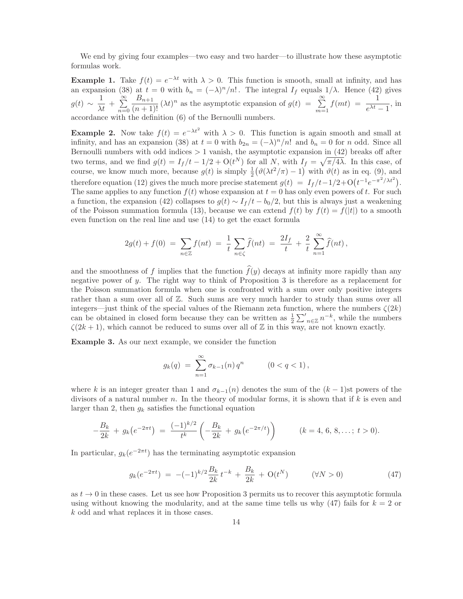We end by giving four examples—two easy and two harder—to illustrate how these asymptotic formulas work.

**Example 1.** Take  $f(t) = e^{-\lambda t}$  with  $\lambda > 0$ . This function is smooth, small at infinity, and has an expansion (38) at  $t = 0$  with  $b_n = (-\lambda)^n/n!$ . The integral  $I_f$  equals  $1/\lambda$ . Hence (42) gives  $g(t) \sim \frac{1}{\lambda t} + \sum_{n=0}^{\infty}$  $n=0$  $\frac{B_{n+1}}{(n+1)!} (\lambda t)^n$  as the asymptotic expansion of  $g(t) = \sum_{m=0}^{\infty}$  $m=1$  $f(mt) = \frac{1}{e^{\lambda t} - 1}$ , in accordance with the definition (6) of the Bernoulli numbers.

**Example 2.** Now take  $f(t) = e^{-\lambda t^2}$  with  $\lambda > 0$ . This function is again smooth and small at infinity, and has an expansion (38) at  $t = 0$  with  $b_{2n} = (-\lambda)^n/n!$  and  $b_n = 0$  for n odd. Since all Bernoulli numbers with odd indices  $> 1$  vanish, the asymptotic expansion in  $(42)$  breaks off after two terms, and we find  $g(t) = I_f/t - 1/2 + O(t^N)$  for all N, with  $I_f = \sqrt{\pi/4\lambda}$ . In this case, of course, we know much more, because  $g(t)$  is simply  $\frac{1}{2}(\vartheta(\lambda t^2/\pi) - 1)$  with  $\vartheta(t)$  as in eq. (9), and therefore equation (12) gives the much more precise statement  $g(t) = I_f/t - 1/2 + O(t^{-1}e^{-\pi^2/\lambda t^2})$ . The same applies to any function  $f(t)$  whose expansion at  $t = 0$  has only even powers of t. For such a function, the expansion (42) collapses to  $g(t) \sim I_f/t - b_0/2$ , but this is always just a weakening of the Poisson summation formula (13), because we can extend  $f(t)$  by  $f(t) = f(|t|)$  to a smooth even function on the real line and use (14) to get the exact formula

$$
2g(t) + f(0) = \sum_{n \in \mathbb{Z}} f(nt) = \frac{1}{t} \sum_{n \in \zeta} \widehat{f}(nt) = \frac{2I_f}{t} + \frac{2}{t} \sum_{n=1}^{\infty} \widehat{f}(nt),
$$

and the smoothness of f implies that the function  $\widehat{f}(y)$  decays at infinity more rapidly than any negative power of y. The right way to think of Proposition 3 is therefore as a replacement for the Poisson summation formula when one is confronted with a sum over only positive integers rather than a sum over all of Z. Such sums are very much harder to study than sums over all integers—just think of the special values of the Riemann zeta function, where the numbers  $\zeta(2k)$ can be obtained in closed form because they can be written as  $\frac{1}{2} \sum_{n \in \mathbb{Z}}^{\prime} n^{-k}$ , while the numbers  $\zeta(2k+1)$ , which cannot be reduced to sums over all of Z in this way, are not known exactly.

Example 3. As our next example, we consider the function

$$
g_k(q) = \sum_{n=1}^{\infty} \sigma_{k-1}(n) q^n \qquad (0 < q < 1),
$$

where k is an integer greater than 1 and  $\sigma_{k-1}(n)$  denotes the sum of the  $(k-1)$ st powers of the divisors of a natural number  $n$ . In the theory of modular forms, it is shown that if  $k$  is even and larger than 2, then  $g_k$  satisfies the functional equation

$$
-\frac{B_k}{2k} + g_k(e^{-2\pi t}) = \frac{(-1)^{k/2}}{t^k} \left(-\frac{B_k}{2k} + g_k(e^{-2\pi/t})\right) \qquad (k = 4, 6, 8, \dots; t > 0).
$$

In particular,  $g_k(e^{-2\pi t})$  has the terminating asymptotic expansion

$$
g_k(e^{-2\pi t}) = -(-1)^{k/2} \frac{B_k}{2k} t^{-k} + \frac{B_k}{2k} + \mathcal{O}(t^N) \qquad (\forall N > 0)
$$
 (47)

as  $t \to 0$  in these cases. Let us see how Proposition 3 permits us to recover this asymptotic formula using without knowing the modularity, and at the same time tells us why  $(47)$  fails for  $k = 2$  or k odd and what replaces it in those cases.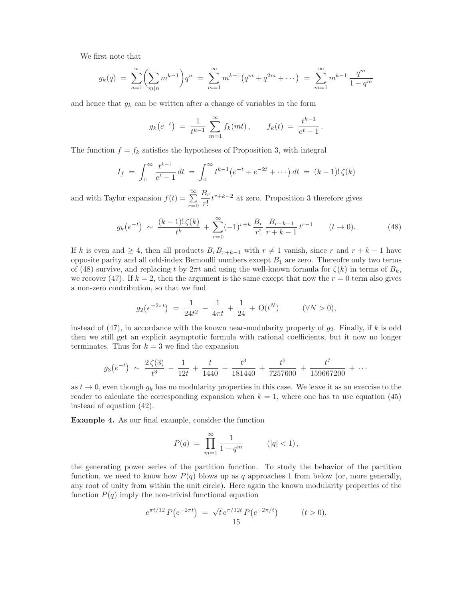We first note that

$$
g_k(q) = \sum_{n=1}^{\infty} \left( \sum_{m|n} m^{k-1} \right) q^n = \sum_{m=1}^{\infty} m^{k-1} \left( q^m + q^{2m} + \dots \right) = \sum_{m=1}^{\infty} m^{k-1} \frac{q^m}{1 - q^m}
$$

and hence that  $g_k$  can be written after a change of variables in the form

$$
g_k(e^{-t}) = \frac{1}{t^{k-1}} \sum_{m=1}^{\infty} f_k(mt), \qquad f_k(t) = \frac{t^{k-1}}{e^t - 1}.
$$

The function  $f = f_k$  satisfies the hypotheses of Proposition 3, with integral

$$
I_f = \int_0^\infty \frac{t^{k-1}}{e^t - 1} dt = \int_0^\infty t^{k-1} (e^{-t} + e^{-2t} + \cdots) dt = (k-1)! \zeta(k)
$$

and with Taylor expansion  $f(t) = \sum_{n=0}^{\infty}$  $r=0$  $B_r$  $\frac{dr}{r!}t^{r+k-2}$  at zero. Proposition 3 therefore gives

$$
g_k(e^{-t}) \sim \frac{(k-1)!\,\zeta(k)}{t^k} + \sum_{r=0}^{\infty} (-1)^{r+k} \frac{B_r}{r!} \frac{B_{r+k-1}}{r+k-1} t^{r-1} \qquad (t \to 0). \tag{48}
$$

If k is even and  $\geq 4$ , then all products  $B_r B_{r+k-1}$  with  $r \neq 1$  vanish, since r and  $r + k - 1$  have opposite parity and all odd-index Bernoulli numbers except  $B_1$  are zero. Thereofre only two terms of (48) survive, and replacing t by  $2\pi t$  and using the well-known formula for  $\zeta(k)$  in terms of  $B_k$ , we recover (47). If  $k = 2$ , then the argument is the same except that now the  $r = 0$  term also gives a non-zero contribution, so that we find

$$
g_2(e^{-2\pi t}) = \frac{1}{24t^2} - \frac{1}{4\pi t} + \frac{1}{24} + O(t^N) \qquad (\forall N > 0),
$$

instead of  $(47)$ , in accordance with the known near-modularity property of  $g_2$ . Finally, if k is odd then we still get an explicit asymptotic formula with rational coefficients, but it now no longer terminates. Thus for  $k = 3$  we find the expansion

$$
g_3(e^{-t}) \sim \frac{2\zeta(3)}{t^3} - \frac{1}{12t} + \frac{t}{1440} + \frac{t^3}{181440} + \frac{t^5}{7257600} + \frac{t^7}{159667200} + \cdots
$$

as  $t \to 0$ , even though  $g_k$  has no modularity properties in this case. We leave it as an exercise to the reader to calculate the corresponding expansion when  $k = 1$ , where one has to use equation (45) instead of equation (42).

Example 4. As our final example, consider the function

$$
P(q) = \prod_{m=1}^{\infty} \frac{1}{1 - q^m} \qquad (|q| < 1),
$$

the generating power series of the partition function. To study the behavior of the partition function, we need to know how  $P(q)$  blows up as q approaches 1 from below (or, more generally, any root of unity from within the unit circle). Here again the known modularity properties of the function  $P(q)$  imply the non-trivial functional equation

$$
e^{\pi t/12} P(e^{-2\pi t}) = \sqrt{t} e^{\pi/12t} P(e^{-2\pi/t}) \qquad (t > 0),
$$